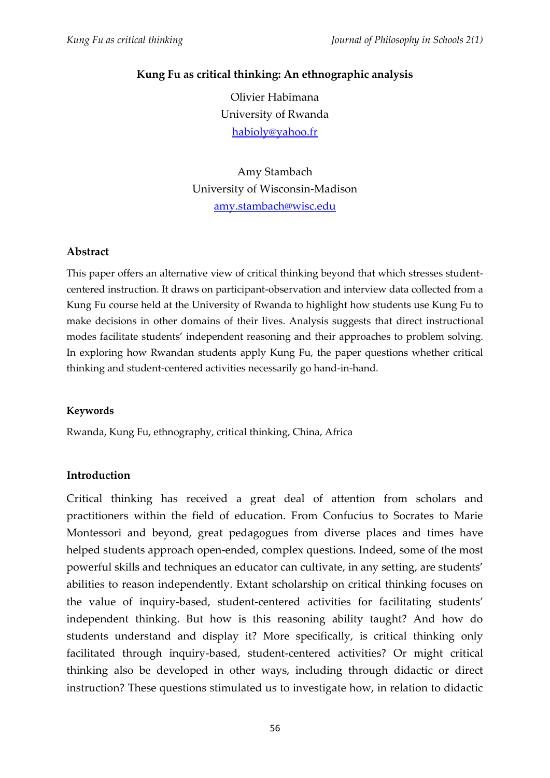### **Kung Fu as critical thinking: An ethnographic analysis**

Olivier Habimana University of Rwanda [habioly@yahoo.fr](mailto:habioly@yahoo.fr)

Amy Stambach University of Wisconsin-Madison [amy.stambach@wisc.edu](mailto:amy.stambach@wisc.edu)

### **Abstract**

This paper offers an alternative view of critical thinking beyond that which stresses studentcentered instruction. It draws on participant-observation and interview data collected from a Kung Fu course held at the University of Rwanda to highlight how students use Kung Fu to make decisions in other domains of their lives. Analysis suggests that direct instructional modes facilitate students' independent reasoning and their approaches to problem solving. In exploring how Rwandan students apply Kung Fu, the paper questions whether critical thinking and student-centered activities necessarily go hand-in-hand.

#### **Keywords**

Rwanda, Kung Fu, ethnography, critical thinking, China, Africa

### **Introduction**

Critical thinking has received a great deal of attention from scholars and practitioners within the field of education. From Confucius to Socrates to Marie Montessori and beyond, great pedagogues from diverse places and times have helped students approach open-ended, complex questions. Indeed, some of the most powerful skills and techniques an educator can cultivate, in any setting, are students' abilities to reason independently. Extant scholarship on critical thinking focuses on the value of inquiry-based, student-centered activities for facilitating students' independent thinking. But how is this reasoning ability taught? And how do students understand and display it? More specifically, is critical thinking only facilitated through inquiry-based, student-centered activities? Or might critical thinking also be developed in other ways, including through didactic or direct instruction? These questions stimulated us to investigate how, in relation to didactic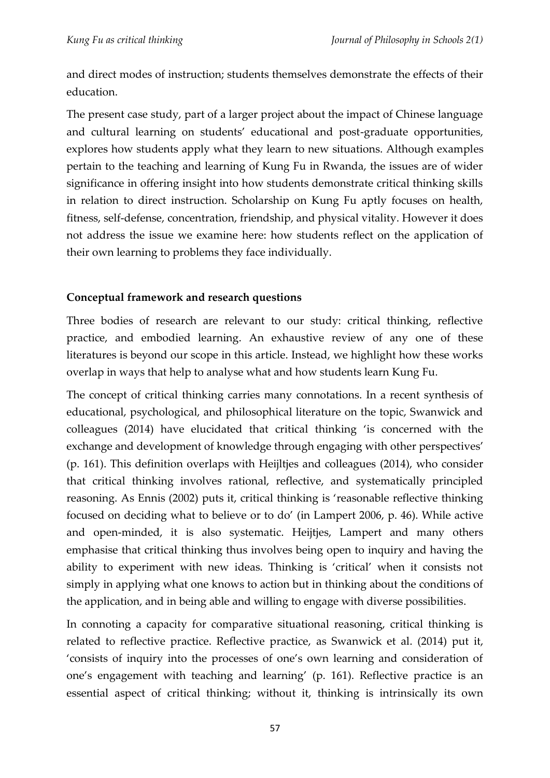and direct modes of instruction; students themselves demonstrate the effects of their education.

The present case study, part of a larger project about the impact of Chinese language and cultural learning on students' educational and post-graduate opportunities, explores how students apply what they learn to new situations. Although examples pertain to the teaching and learning of Kung Fu in Rwanda, the issues are of wider significance in offering insight into how students demonstrate critical thinking skills in relation to direct instruction. Scholarship on Kung Fu aptly focuses on health, fitness, self-defense, concentration, friendship, and physical vitality. However it does not address the issue we examine here: how students reflect on the application of their own learning to problems they face individually.

### **Conceptual framework and research questions**

Three bodies of research are relevant to our study: critical thinking, reflective practice, and embodied learning. An exhaustive review of any one of these literatures is beyond our scope in this article. Instead, we highlight how these works overlap in ways that help to analyse what and how students learn Kung Fu.

The concept of critical thinking carries many connotations. In a recent synthesis of educational, psychological, and philosophical literature on the topic, Swanwick and colleagues (2014) have elucidated that critical thinking 'is concerned with the exchange and development of knowledge through engaging with other perspectives' (p. 161). This definition overlaps with Heijltjes and colleagues (2014), who consider that critical thinking involves rational, reflective, and systematically principled reasoning. As Ennis (2002) puts it, critical thinking is 'reasonable reflective thinking focused on deciding what to believe or to do' (in Lampert 2006, p. 46). While active and open-minded, it is also systematic. Heijtjes, Lampert and many others emphasise that critical thinking thus involves being open to inquiry and having the ability to experiment with new ideas. Thinking is 'critical' when it consists not simply in applying what one knows to action but in thinking about the conditions of the application, and in being able and willing to engage with diverse possibilities.

In connoting a capacity for comparative situational reasoning, critical thinking is related to reflective practice. Reflective practice, as Swanwick et al. (2014) put it, 'consists of inquiry into the processes of one's own learning and consideration of one's engagement with teaching and learning' (p. 161). Reflective practice is an essential aspect of critical thinking; without it, thinking is intrinsically its own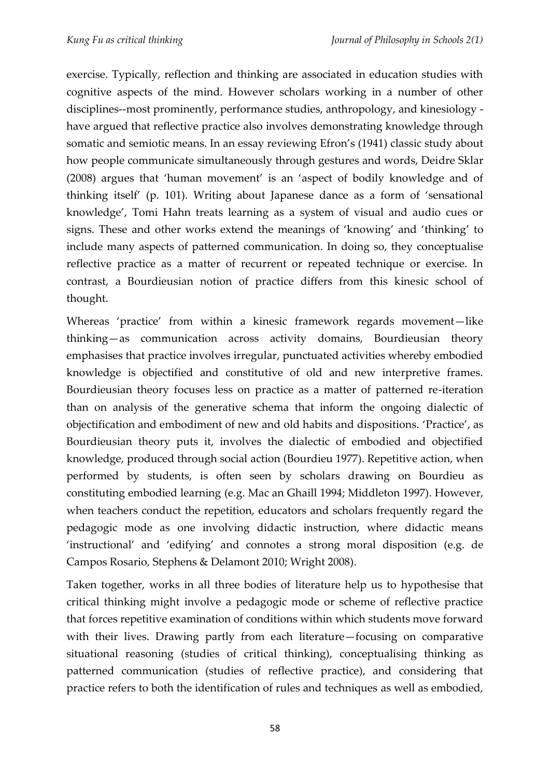exercise. Typically, reflection and thinking are associated in education studies with cognitive aspects of the mind. However scholars working in a number of other disciplines--most prominently, performance studies, anthropology, and kinesiology have argued that reflective practice also involves demonstrating knowledge through somatic and semiotic means. In an essay reviewing Efron's (1941) classic study about how people communicate simultaneously through gestures and words, Deidre Sklar (2008) argues that 'human movement' is an 'aspect of bodily knowledge and of thinking itself' (p. 101). Writing about Japanese dance as a form of 'sensational knowledge', Tomi Hahn treats learning as a system of visual and audio cues or signs. These and other works extend the meanings of 'knowing' and 'thinking' to include many aspects of patterned communication. In doing so, they conceptualise reflective practice as a matter of recurrent or repeated technique or exercise. In contrast, a Bourdieusian notion of practice differs from this kinesic school of thought.

Whereas 'practice' from within a kinesic framework regards movement—like thinking—as communication across activity domains, Bourdieusian theory emphasises that practice involves irregular, punctuated activities whereby embodied knowledge is objectified and constitutive of old and new interpretive frames. Bourdieusian theory focuses less on practice as a matter of patterned re-iteration than on analysis of the generative schema that inform the ongoing dialectic of objectification and embodiment of new and old habits and dispositions. 'Practice', as Bourdieusian theory puts it, involves the dialectic of embodied and objectified knowledge, produced through social action (Bourdieu 1977). Repetitive action, when performed by students, is often seen by scholars drawing on Bourdieu as constituting embodied learning (e.g. Mac an Ghaill 1994; Middleton 1997). However, when teachers conduct the repetition, educators and scholars frequently regard the pedagogic mode as one involving didactic instruction, where didactic means 'instructional' and 'edifying' and connotes a strong moral disposition (e.g. de Campos Rosario, Stephens & Delamont 2010; Wright 2008).

Taken together, works in all three bodies of literature help us to hypothesise that critical thinking might involve a pedagogic mode or scheme of reflective practice that forces repetitive examination of conditions within which students move forward with their lives. Drawing partly from each literature—focusing on comparative situational reasoning (studies of critical thinking), conceptualising thinking as patterned communication (studies of reflective practice), and considering that practice refers to both the identification of rules and techniques as well as embodied,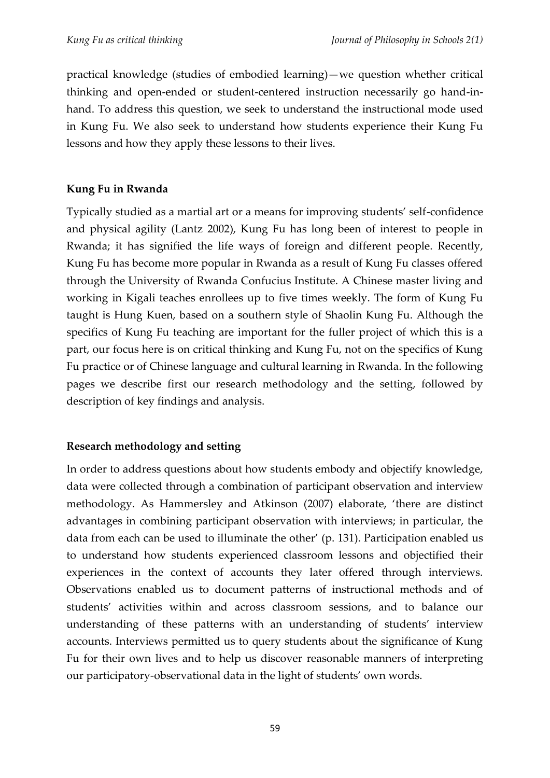practical knowledge (studies of embodied learning)—we question whether critical thinking and open-ended or student-centered instruction necessarily go hand-inhand. To address this question, we seek to understand the instructional mode used in Kung Fu. We also seek to understand how students experience their Kung Fu lessons and how they apply these lessons to their lives.

## **Kung Fu in Rwanda**

Typically studied as a martial art or a means for improving students' self-confidence and physical agility (Lantz 2002), Kung Fu has long been of interest to people in Rwanda; it has signified the life ways of foreign and different people. Recently, Kung Fu has become more popular in Rwanda as a result of Kung Fu classes offered through the University of Rwanda Confucius Institute. A Chinese master living and working in Kigali teaches enrollees up to five times weekly. The form of Kung Fu taught is Hung Kuen, based on a southern style of Shaolin Kung Fu. Although the specifics of Kung Fu teaching are important for the fuller project of which this is a part, our focus here is on critical thinking and Kung Fu, not on the specifics of Kung Fu practice or of Chinese language and cultural learning in Rwanda. In the following pages we describe first our research methodology and the setting, followed by description of key findings and analysis.

# **Research methodology and setting**

In order to address questions about how students embody and objectify knowledge, data were collected through a combination of participant observation and interview methodology. As Hammersley and Atkinson (2007) elaborate, 'there are distinct advantages in combining participant observation with interviews; in particular, the data from each can be used to illuminate the other' (p. 131). Participation enabled us to understand how students experienced classroom lessons and objectified their experiences in the context of accounts they later offered through interviews. Observations enabled us to document patterns of instructional methods and of students' activities within and across classroom sessions, and to balance our understanding of these patterns with an understanding of students' interview accounts. Interviews permitted us to query students about the significance of Kung Fu for their own lives and to help us discover reasonable manners of interpreting our participatory-observational data in the light of students' own words.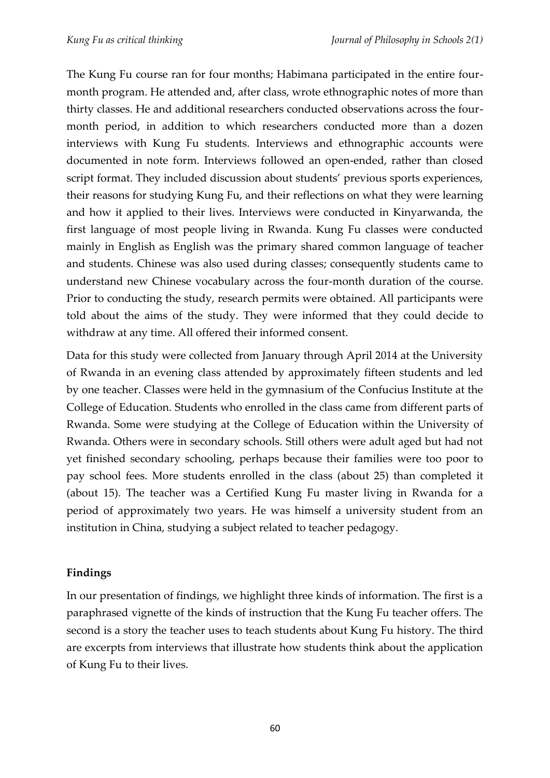The Kung Fu course ran for four months; Habimana participated in the entire fourmonth program. He attended and, after class, wrote ethnographic notes of more than thirty classes. He and additional researchers conducted observations across the fourmonth period, in addition to which researchers conducted more than a dozen interviews with Kung Fu students. Interviews and ethnographic accounts were documented in note form. Interviews followed an open-ended, rather than closed script format. They included discussion about students' previous sports experiences, their reasons for studying Kung Fu, and their reflections on what they were learning and how it applied to their lives. Interviews were conducted in Kinyarwanda, the first language of most people living in Rwanda. Kung Fu classes were conducted mainly in English as English was the primary shared common language of teacher and students. Chinese was also used during classes; consequently students came to understand new Chinese vocabulary across the four-month duration of the course. Prior to conducting the study, research permits were obtained. All participants were told about the aims of the study. They were informed that they could decide to withdraw at any time. All offered their informed consent.

Data for this study were collected from January through April 2014 at the University of Rwanda in an evening class attended by approximately fifteen students and led by one teacher. Classes were held in the gymnasium of the Confucius Institute at the College of Education. Students who enrolled in the class came from different parts of Rwanda. Some were studying at the College of Education within the University of Rwanda. Others were in secondary schools. Still others were adult aged but had not yet finished secondary schooling, perhaps because their families were too poor to pay school fees. More students enrolled in the class (about 25) than completed it (about 15). The teacher was a Certified Kung Fu master living in Rwanda for a period of approximately two years. He was himself a university student from an institution in China, studying a subject related to teacher pedagogy.

### **Findings**

In our presentation of findings, we highlight three kinds of information. The first is a paraphrased vignette of the kinds of instruction that the Kung Fu teacher offers. The second is a story the teacher uses to teach students about Kung Fu history. The third are excerpts from interviews that illustrate how students think about the application of Kung Fu to their lives.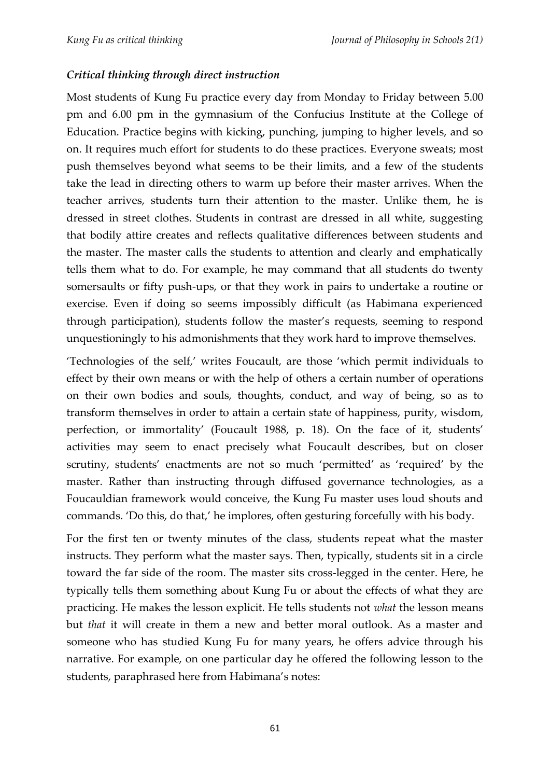## *Critical thinking through direct instruction*

Most students of Kung Fu practice every day from Monday to Friday between 5.00 pm and 6.00 pm in the gymnasium of the Confucius Institute at the College of Education. Practice begins with kicking, punching, jumping to higher levels, and so on. It requires much effort for students to do these practices. Everyone sweats; most push themselves beyond what seems to be their limits, and a few of the students take the lead in directing others to warm up before their master arrives. When the teacher arrives, students turn their attention to the master. Unlike them, he is dressed in street clothes. Students in contrast are dressed in all white, suggesting that bodily attire creates and reflects qualitative differences between students and the master. The master calls the students to attention and clearly and emphatically tells them what to do. For example, he may command that all students do twenty somersaults or fifty push-ups, or that they work in pairs to undertake a routine or exercise. Even if doing so seems impossibly difficult (as Habimana experienced through participation), students follow the master's requests, seeming to respond unquestioningly to his admonishments that they work hard to improve themselves.

'Technologies of the self,' writes Foucault, are those 'which permit individuals to effect by their own means or with the help of others a certain number of operations on their own bodies and souls, thoughts, conduct, and way of being, so as to transform themselves in order to attain a certain state of happiness, purity, wisdom, perfection, or immortality' (Foucault 1988, p. 18). On the face of it, students' activities may seem to enact precisely what Foucault describes, but on closer scrutiny, students' enactments are not so much 'permitted' as 'required' by the master. Rather than instructing through diffused governance technologies, as a Foucauldian framework would conceive, the Kung Fu master uses loud shouts and commands. 'Do this, do that,' he implores, often gesturing forcefully with his body.

For the first ten or twenty minutes of the class, students repeat what the master instructs. They perform what the master says. Then, typically, students sit in a circle toward the far side of the room. The master sits cross-legged in the center. Here, he typically tells them something about Kung Fu or about the effects of what they are practicing. He makes the lesson explicit. He tells students not *what* the lesson means but *that* it will create in them a new and better moral outlook. As a master and someone who has studied Kung Fu for many years, he offers advice through his narrative. For example, on one particular day he offered the following lesson to the students, paraphrased here from Habimana's notes: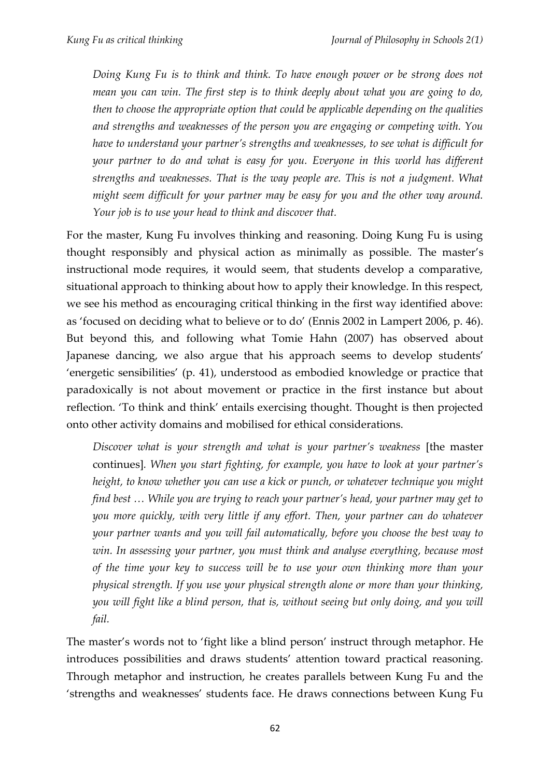*Doing Kung Fu is to think and think. To have enough power or be strong does not mean you can win. The first step is to think deeply about what you are going to do, then to choose the appropriate option that could be applicable depending on the qualities and strengths and weaknesses of the person you are engaging or competing with. You have to understand your partner's strengths and weaknesses, to see what is difficult for your partner to do and what is easy for you. Everyone in this world has different strengths and weaknesses. That is the way people are. This is not a judgment. What might seem difficult for your partner may be easy for you and the other way around. Your job is to use your head to think and discover that.* 

For the master, Kung Fu involves thinking and reasoning. Doing Kung Fu is using thought responsibly and physical action as minimally as possible. The master's instructional mode requires, it would seem, that students develop a comparative, situational approach to thinking about how to apply their knowledge. In this respect, we see his method as encouraging critical thinking in the first way identified above: as 'focused on deciding what to believe or to do' (Ennis 2002 in Lampert 2006, p. 46). But beyond this, and following what Tomie Hahn (2007) has observed about Japanese dancing, we also argue that his approach seems to develop students' 'energetic sensibilities' (p. 41), understood as embodied knowledge or practice that paradoxically is not about movement or practice in the first instance but about reflection. 'To think and think' entails exercising thought. Thought is then projected onto other activity domains and mobilised for ethical considerations.

*Discover what is your strength and what is your partner's weakness* [the master continues]*. When you start fighting, for example, you have to look at your partner's height, to know whether you can use a kick or punch, or whatever technique you might find best … While you are trying to reach your partner's head, your partner may get to you more quickly, with very little if any effort. Then, your partner can do whatever your partner wants and you will fail automatically, before you choose the best way to win. In assessing your partner, you must think and analyse everything, because most of the time your key to success will be to use your own thinking more than your physical strength. If you use your physical strength alone or more than your thinking, you will fight like a blind person, that is, without seeing but only doing, and you will fail.*

The master's words not to 'fight like a blind person' instruct through metaphor. He introduces possibilities and draws students' attention toward practical reasoning. Through metaphor and instruction, he creates parallels between Kung Fu and the 'strengths and weaknesses' students face. He draws connections between Kung Fu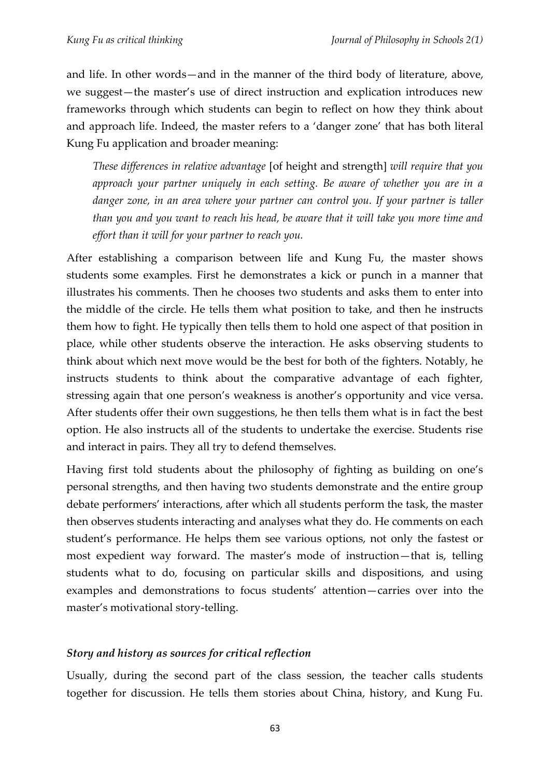and life. In other words—and in the manner of the third body of literature, above, we suggest—the master's use of direct instruction and explication introduces new frameworks through which students can begin to reflect on how they think about and approach life. Indeed, the master refers to a 'danger zone' that has both literal Kung Fu application and broader meaning:

*These differences in relative advantage* [of height and strength] *will require that you approach your partner uniquely in each setting. Be aware of whether you are in a danger zone, in an area where your partner can control you. If your partner is taller than you and you want to reach his head, be aware that it will take you more time and effort than it will for your partner to reach you.*

After establishing a comparison between life and Kung Fu, the master shows students some examples. First he demonstrates a kick or punch in a manner that illustrates his comments. Then he chooses two students and asks them to enter into the middle of the circle. He tells them what position to take, and then he instructs them how to fight. He typically then tells them to hold one aspect of that position in place, while other students observe the interaction. He asks observing students to think about which next move would be the best for both of the fighters. Notably, he instructs students to think about the comparative advantage of each fighter, stressing again that one person's weakness is another's opportunity and vice versa. After students offer their own suggestions, he then tells them what is in fact the best option. He also instructs all of the students to undertake the exercise. Students rise and interact in pairs. They all try to defend themselves.

Having first told students about the philosophy of fighting as building on one's personal strengths, and then having two students demonstrate and the entire group debate performers' interactions, after which all students perform the task, the master then observes students interacting and analyses what they do. He comments on each student's performance. He helps them see various options, not only the fastest or most expedient way forward. The master's mode of instruction—that is, telling students what to do, focusing on particular skills and dispositions, and using examples and demonstrations to focus students' attention—carries over into the master's motivational story-telling.

# *Story and history as sources for critical reflection*

Usually, during the second part of the class session, the teacher calls students together for discussion. He tells them stories about China, history, and Kung Fu.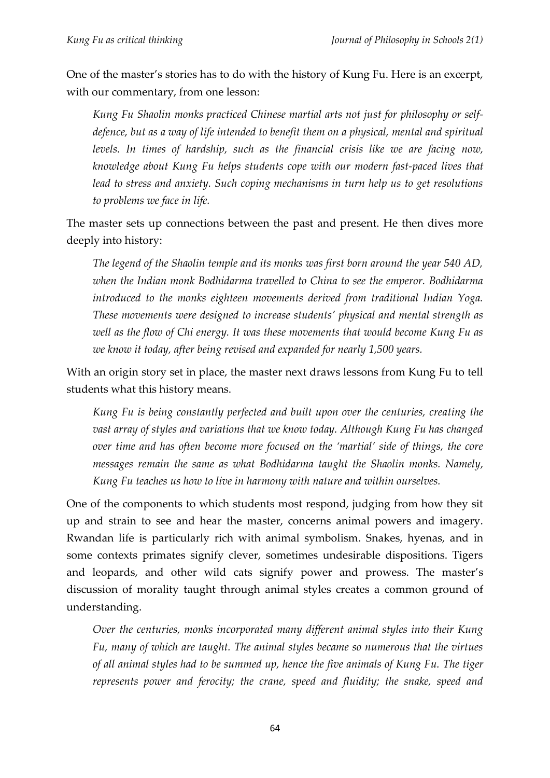One of the master's stories has to do with the history of Kung Fu. Here is an excerpt, with our commentary, from one lesson:

*Kung Fu Shaolin monks practiced Chinese martial arts not just for philosophy or selfdefence, but as a way of life intended to benefit them on a physical, mental and spiritual levels. In times of hardship, such as the financial crisis like we are facing now, knowledge about Kung Fu helps students cope with our modern fast-paced lives that lead to stress and anxiety. Such coping mechanisms in turn help us to get resolutions to problems we face in life.*

The master sets up connections between the past and present. He then dives more deeply into history:

*The legend of the Shaolin temple and its monks was first born around the year 540 AD, when the Indian monk Bodhidarma travelled to China to see the emperor. Bodhidarma introduced to the monks eighteen movements derived from traditional Indian Yoga. These movements were designed to increase students' physical and mental strength as*  well as the flow of Chi energy. It was these movements that would become Kung Fu as *we know it today, after being revised and expanded for nearly 1,500 years.*

With an origin story set in place, the master next draws lessons from Kung Fu to tell students what this history means.

*Kung Fu is being constantly perfected and built upon over the centuries, creating the vast array of styles and variations that we know today. Although Kung Fu has changed over time and has often become more focused on the 'martial' side of things, the core messages remain the same as what Bodhidarma taught the Shaolin monks. Namely, Kung Fu teaches us how to live in harmony with nature and within ourselves.* 

One of the components to which students most respond, judging from how they sit up and strain to see and hear the master, concerns animal powers and imagery. Rwandan life is particularly rich with animal symbolism. Snakes, hyenas, and in some contexts primates signify clever, sometimes undesirable dispositions. Tigers and leopards, and other wild cats signify power and prowess. The master's discussion of morality taught through animal styles creates a common ground of understanding.

*Over the centuries, monks incorporated many different animal styles into their Kung Fu, many of which are taught. The animal styles became so numerous that the virtues of all animal styles had to be summed up, hence the five animals of Kung Fu. The tiger represents power and ferocity; the crane, speed and fluidity; the snake, speed and*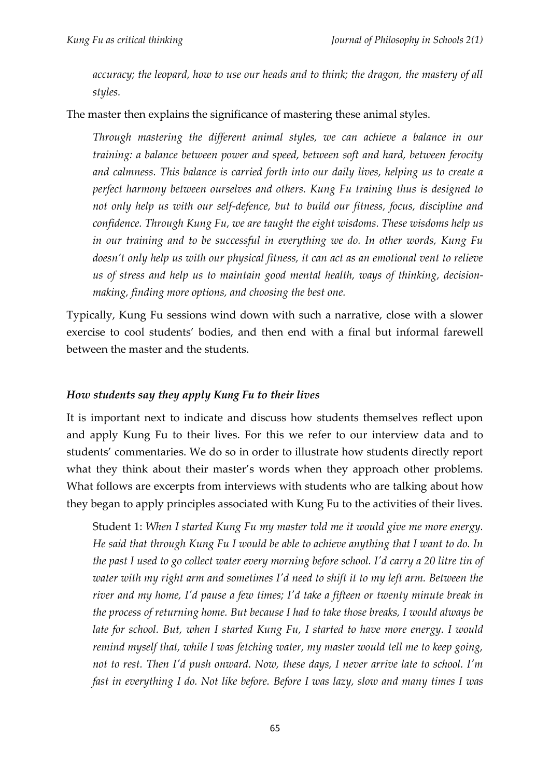*accuracy; the leopard, how to use our heads and to think; the dragon, the mastery of all styles.* 

The master then explains the significance of mastering these animal styles.

*Through mastering the different animal styles, we can achieve a balance in our training: a balance between power and speed, between soft and hard, between ferocity and calmness. This balance is carried forth into our daily lives, helping us to create a perfect harmony between ourselves and others. Kung Fu training thus is designed to not only help us with our self-defence, but to build our fitness, focus, discipline and confidence. Through Kung Fu, we are taught the eight wisdoms. These wisdoms help us in our training and to be successful in everything we do. In other words, Kung Fu doesn't only help us with our physical fitness, it can act as an emotional vent to relieve us of stress and help us to maintain good mental health, ways of thinking, decisionmaking, finding more options, and choosing the best one.*

Typically, Kung Fu sessions wind down with such a narrative, close with a slower exercise to cool students' bodies, and then end with a final but informal farewell between the master and the students.

### *How students say they apply Kung Fu to their lives*

It is important next to indicate and discuss how students themselves reflect upon and apply Kung Fu to their lives. For this we refer to our interview data and to students' commentaries. We do so in order to illustrate how students directly report what they think about their master's words when they approach other problems. What follows are excerpts from interviews with students who are talking about how they began to apply principles associated with Kung Fu to the activities of their lives.

Student 1: *When I started Kung Fu my master told me it would give me more energy. He said that through Kung Fu I would be able to achieve anything that I want to do. In the past I used to go collect water every morning before school. I'd carry a 20 litre tin of water with my right arm and sometimes I'd need to shift it to my left arm. Between the river and my home, I'd pause a few times; I'd take a fifteen or twenty minute break in the process of returning home. But because I had to take those breaks, I would always be late for school. But, when I started Kung Fu, I started to have more energy. I would remind myself that, while I was fetching water, my master would tell me to keep going, not to rest. Then I'd push onward. Now, these days, I never arrive late to school. I'm fast in everything I do. Not like before. Before I was lazy, slow and many times I was*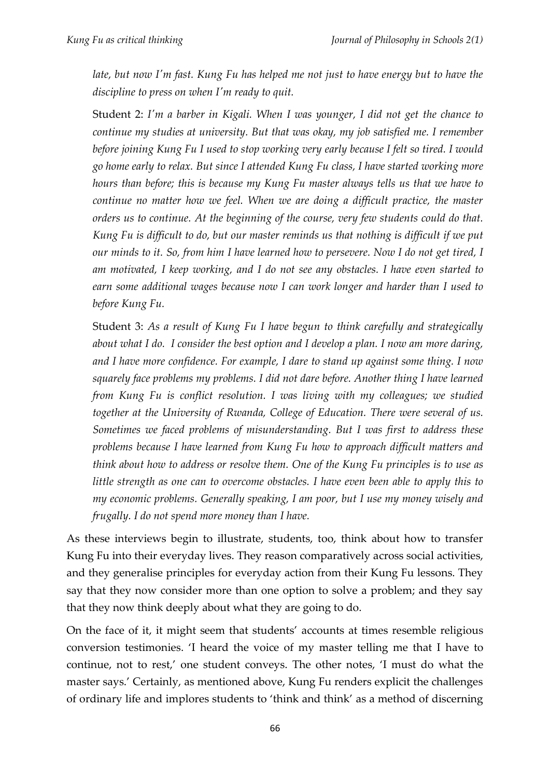*late, but now I'm fast. Kung Fu has helped me not just to have energy but to have the discipline to press on when I'm ready to quit.*

Student 2: *I'm a barber in Kigali. When I was younger, I did not get the chance to continue my studies at university. But that was okay, my job satisfied me. I remember before joining Kung Fu I used to stop working very early because I felt so tired. I would go home early to relax. But since I attended Kung Fu class, I have started working more hours than before; this is because my Kung Fu master always tells us that we have to continue no matter how we feel. When we are doing a difficult practice, the master orders us to continue. At the beginning of the course, very few students could do that. Kung Fu is difficult to do, but our master reminds us that nothing is difficult if we put our minds to it. So, from him I have learned how to persevere. Now I do not get tired, I am motivated, I keep working, and I do not see any obstacles. I have even started to earn some additional wages because now I can work longer and harder than I used to before Kung Fu.*

Student 3: *As a result of Kung Fu I have begun to think carefully and strategically about what I do. I consider the best option and I develop a plan. I now am more daring, and I have more confidence. For example, I dare to stand up against some thing. I now squarely face problems my problems. I did not dare before. Another thing I have learned from Kung Fu is conflict resolution. I was living with my colleagues; we studied together at the University of Rwanda, College of Education. There were several of us. Sometimes we faced problems of misunderstanding. But I was first to address these problems because I have learned from Kung Fu how to approach difficult matters and think about how to address or resolve them. One of the Kung Fu principles is to use as little strength as one can to overcome obstacles. I have even been able to apply this to my economic problems. Generally speaking, I am poor, but I use my money wisely and frugally. I do not spend more money than I have.*

As these interviews begin to illustrate, students, too, think about how to transfer Kung Fu into their everyday lives. They reason comparatively across social activities, and they generalise principles for everyday action from their Kung Fu lessons. They say that they now consider more than one option to solve a problem; and they say that they now think deeply about what they are going to do.

On the face of it, it might seem that students' accounts at times resemble religious conversion testimonies. 'I heard the voice of my master telling me that I have to continue, not to rest,' one student conveys. The other notes, 'I must do what the master says.' Certainly, as mentioned above, Kung Fu renders explicit the challenges of ordinary life and implores students to 'think and think' as a method of discerning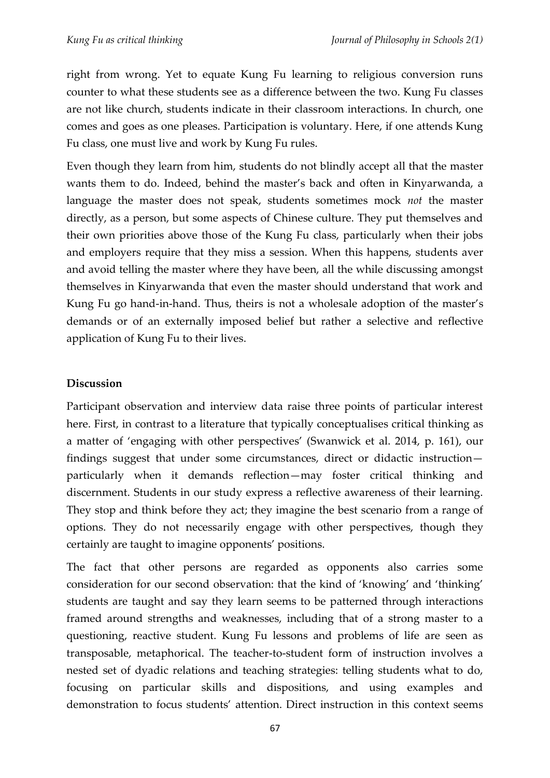right from wrong. Yet to equate Kung Fu learning to religious conversion runs counter to what these students see as a difference between the two. Kung Fu classes are not like church, students indicate in their classroom interactions. In church, one comes and goes as one pleases. Participation is voluntary. Here, if one attends Kung Fu class, one must live and work by Kung Fu rules.

Even though they learn from him, students do not blindly accept all that the master wants them to do. Indeed, behind the master's back and often in Kinyarwanda, a language the master does not speak, students sometimes mock *not* the master directly, as a person, but some aspects of Chinese culture. They put themselves and their own priorities above those of the Kung Fu class, particularly when their jobs and employers require that they miss a session. When this happens, students aver and avoid telling the master where they have been, all the while discussing amongst themselves in Kinyarwanda that even the master should understand that work and Kung Fu go hand-in-hand. Thus, theirs is not a wholesale adoption of the master's demands or of an externally imposed belief but rather a selective and reflective application of Kung Fu to their lives.

### **Discussion**

Participant observation and interview data raise three points of particular interest here. First, in contrast to a literature that typically conceptualises critical thinking as a matter of 'engaging with other perspectives' (Swanwick et al. 2014, p. 161), our findings suggest that under some circumstances, direct or didactic instruction particularly when it demands reflection—may foster critical thinking and discernment. Students in our study express a reflective awareness of their learning. They stop and think before they act; they imagine the best scenario from a range of options. They do not necessarily engage with other perspectives, though they certainly are taught to imagine opponents' positions.

The fact that other persons are regarded as opponents also carries some consideration for our second observation: that the kind of 'knowing' and 'thinking' students are taught and say they learn seems to be patterned through interactions framed around strengths and weaknesses, including that of a strong master to a questioning, reactive student. Kung Fu lessons and problems of life are seen as transposable, metaphorical. The teacher-to-student form of instruction involves a nested set of dyadic relations and teaching strategies: telling students what to do, focusing on particular skills and dispositions, and using examples and demonstration to focus students' attention. Direct instruction in this context seems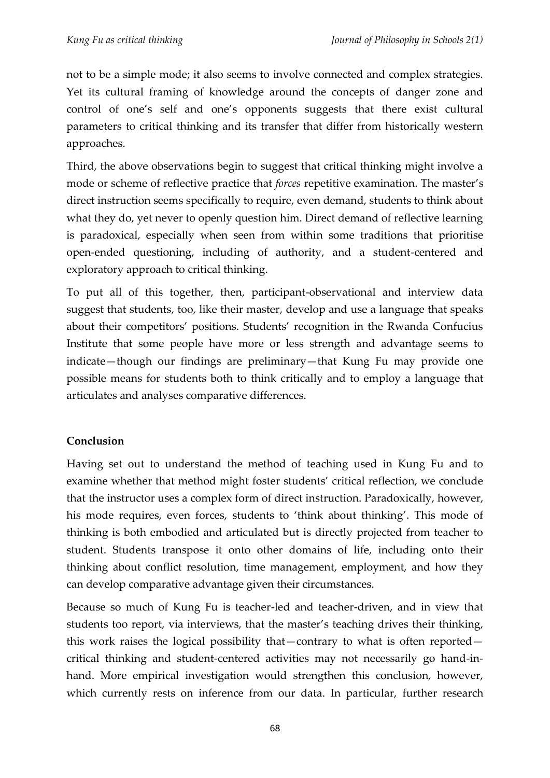not to be a simple mode; it also seems to involve connected and complex strategies. Yet its cultural framing of knowledge around the concepts of danger zone and control of one's self and one's opponents suggests that there exist cultural parameters to critical thinking and its transfer that differ from historically western approaches.

Third, the above observations begin to suggest that critical thinking might involve a mode or scheme of reflective practice that *forces* repetitive examination. The master's direct instruction seems specifically to require, even demand, students to think about what they do, yet never to openly question him. Direct demand of reflective learning is paradoxical, especially when seen from within some traditions that prioritise open-ended questioning, including of authority, and a student-centered and exploratory approach to critical thinking.

To put all of this together, then, participant-observational and interview data suggest that students, too, like their master, develop and use a language that speaks about their competitors' positions. Students' recognition in the Rwanda Confucius Institute that some people have more or less strength and advantage seems to indicate—though our findings are preliminary—that Kung Fu may provide one possible means for students both to think critically and to employ a language that articulates and analyses comparative differences.

# **Conclusion**

Having set out to understand the method of teaching used in Kung Fu and to examine whether that method might foster students' critical reflection, we conclude that the instructor uses a complex form of direct instruction. Paradoxically, however, his mode requires, even forces, students to 'think about thinking'. This mode of thinking is both embodied and articulated but is directly projected from teacher to student. Students transpose it onto other domains of life, including onto their thinking about conflict resolution, time management, employment, and how they can develop comparative advantage given their circumstances.

Because so much of Kung Fu is teacher-led and teacher-driven, and in view that students too report, via interviews, that the master's teaching drives their thinking, this work raises the logical possibility that—contrary to what is often reported critical thinking and student-centered activities may not necessarily go hand-inhand. More empirical investigation would strengthen this conclusion, however, which currently rests on inference from our data. In particular, further research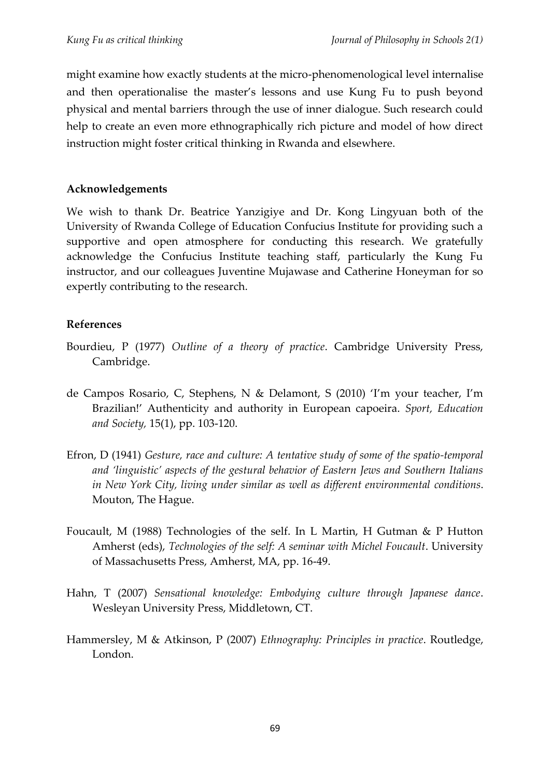might examine how exactly students at the micro-phenomenological level internalise and then operationalise the master's lessons and use Kung Fu to push beyond physical and mental barriers through the use of inner dialogue. Such research could help to create an even more ethnographically rich picture and model of how direct instruction might foster critical thinking in Rwanda and elsewhere.

### **Acknowledgements**

We wish to thank Dr. Beatrice Yanzigiye and Dr. Kong Lingyuan both of the University of Rwanda College of Education Confucius Institute for providing such a supportive and open atmosphere for conducting this research. We gratefully acknowledge the Confucius Institute teaching staff, particularly the Kung Fu instructor, and our colleagues Juventine Mujawase and Catherine Honeyman for so expertly contributing to the research.

# **References**

- Bourdieu, P (1977) *Outline of a theory of practice*. Cambridge University Press, Cambridge.
- de Campos Rosario, C, Stephens, N & Delamont, S (2010) 'I'm your teacher, I'm Brazilian!' Authenticity and authority in European capoeira. *Sport, Education and Society,* 15(1), pp. 103-120.
- Efron, D (1941) *Gesture, race and culture: A tentative study of some of the spatio-temporal and 'linguistic' aspects of the gestural behavior of Eastern Jews and Southern Italians in New York City, living under similar as well as different environmental conditions*. Mouton, The Hague.
- Foucault, M (1988) Technologies of the self. In L Martin, H Gutman & P Hutton Amherst (eds), *Technologies of the self: A seminar with Michel Foucault*. University of Massachusetts Press, Amherst, MA, pp. 16-49.
- Hahn, T (2007) *Sensational knowledge: Embodying culture through Japanese dance*. Wesleyan University Press, Middletown, CT.
- Hammersley, M & Atkinson, P (2007) *Ethnography: Principles in practice*. Routledge, London.